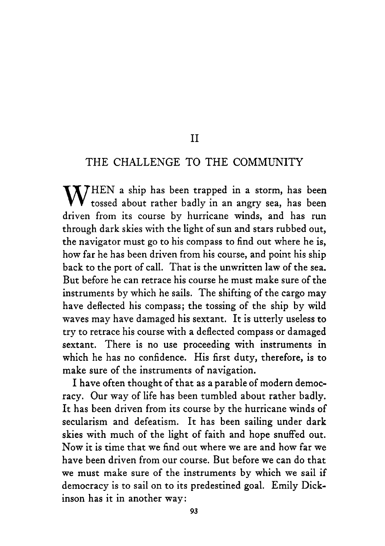#### I1

#### THE CHALLENGE TO THE COMMUNITY

 $\mathbf{W}^{\text{HEN}}$  a ship has been trapped in a storm, has been tossed about rather badly in an angry sea, has been driven from its course by hurricane winds, and has run through dark skies with the light of sun and stars rubbed out, the navigator must go to his compass to find out where he is, how far he has been driven from his course, and point his ship back to the port of call. That is the unwritten law of the sea. But before he can retrace his course he must make sure of the instruments by which he sails. The shifting of the cargo may have deflected his compass; the tossing of the ship by wild waves may have damaged his sextant. It is utterly useless to try to retrace his course with a deflected compass or damaged sextant. There is no use proceeding with instruments in which he has no confidence. His first duty, therefore, is to make sure of the instruments of navigation.

I have often thought of that as a parable of modern democracy. Our way of life has been tumbled about rather badly. It has been driven from its course by the hurricane winds of secularism and defeatism. It has been sailing under dark skies with much of the light of faith and hope snuffed out. Now it is time that we find out where we are and how far we have been driven from our course. But before we can do that we must make sure of the instruments by which we sail if democracy is to sail on to its predestined goal. Emily Dickinson has it in another way: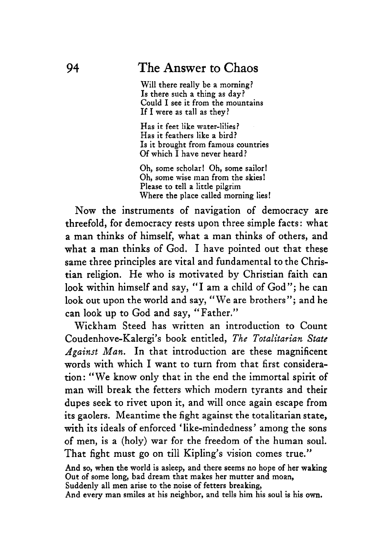Will there really be a morning? Is there such a thing as day? Could I see it from the mountains If I were **as** tall as they?

Has it feet like water-lilies? Has it feathers like a bird? Is it brought from famous countries Of which I have never heard?

Oh, some scholar! Oh, some sailor! Oh, some wise man from the skies! Please to tell *a* little pilgrim Where the place called morning lies!

Now the instruments of navigation of democracy are threefold, for democracy rests upon three simple facts : what a man thinks of himself, what a man thinks of others, and what a man thinks of God. I have pointed out that these same three principles are vital and fundamental to the Christian religion. He who is motivated by Christian faith can look within himself and say, "I am a child of God"; he can look out upon the world and say, "We are brothers"; and he can **look** up to God and say, "Father."

Wickham Steed has written an introduction to Count Coudenhove-Kalergi's book entitled, *The Totalitarian State Against Man.* In that introduction are these magnificent words with which I want to turn from that first consideration: "We know only that in the end the immortal spirit of man will break the fetters which modern tyrants and their dupes seek to rivet upon it, and will once again escape from its gaolers. Meantime the fight against the totalitarian state, with its ideals of enforced 'like-mindedness' among the sons of men, is a (holy) war for the freedom of the human **soul.**  That fight must go on till Kipling's vision comes true."

And **so,** when the world is asleep, and there seems no hope of her waking Out of some long, bad dream that makes her mutter and moan, Suddenly all men arise to the noise of fetters breaking, And every man smiles at his neighbor, and tells him his soul is his **own.**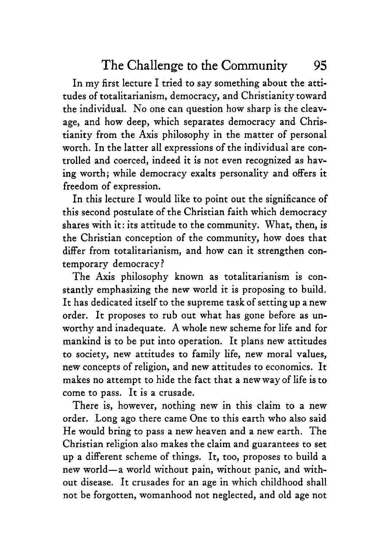In my first lecture I tried to say something about the attitudes of totalitarianism, democracy, and Christianity toward the individual. No one can question how sharp is the cleavage, and how deep, which separates democracy and Christianity from the Axis philosophy in the matter of personal worth. In the latter all expressions of the individual are controlled and coerced, indeed it is not even recognized as having worth; while democracy exalts personality and offers it freedom of expression.

In this lecture I would like to point out the significance of this second postulate of the Christian faith which democracy shares with it: its attitude to the community. What, then, is the Christian conception of the community, how does that differ from totalitarianism, and how can it strengthen contemporary democracy?

The Axis philosophy known as totalitarianism is constantly emphasizing the new world it is proposing to build. It has dedicated itself to the supreme task of setting up a new order. It proposes to rub out what has gone before as unworthy and inadequate. **A** whole new scheme for life and for mankind is to be put into operation. It plans new attitudes to society, new attitudes to family life, new moral values, new concepts of religion, and new attitudes to economics. It makes no attempt to hide the fact that a new way of life is to come to pass. It is a crusade.

There is, however, nothing new in this claim to a new order. Long ago there came One to this earth who also said He would bring to pass a new heaven and a new earth. The Christian religion also makes the claim and guarantees to set up a different scheme of things. It, too, proposes to build a new world-a world without pain, without panic, and without disease. It crusades for an age in which childhood shall not be forgotten, womanhood not neglected, and old age not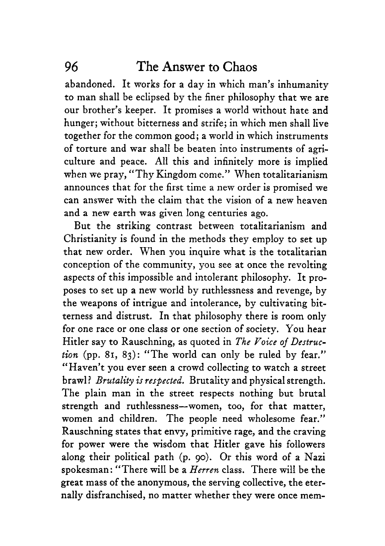abandoned. It works for a day in which man's inhumanity to man shall be eclipsed by the finer philosophy that we are our brother's keeper. It promises a world without hate and hunger; without bitterness and strife; in which men shall live together for the common good; a world in which instruments of torture and war shall be beaten into instruments of agriculture and peace. **All** this and infinitely more is implied when we pray, "Thy Kingdom come.'' When totalitarianism announces that for the first time a new order is promised we can answer with the claim that the vision of a new heaven and a new earth was given long centuries ago.

But the striking contrast between totalitarianism and Christianity is found in the methods they employ to set up that new order. When you inquire what is the totalitarian conception of the community, you see at once the revolting aspects of this impossible and intolerant philosophy. It proposes to set up a new world by ruthlessness and revenge, by the weapons of intrigue and intolerance, by cultivating bitterness and distrust. In that philosophy there is room only for one race or one class or one section of society. You hear Hitler say to Rauschning, as quoted in *The Yoice* of *Destruction* (pp. 81, *83):* "The world can only be ruled by fear." Haven't you ever seen a crowd collecting to watch a street ;< brawl ? *Brutality is respected.* Brutality and physical strength. The plain man in the street respects nothing but brutal strength and ruthlessness--women, too, for that matter, women and children. The people need wholesome fear." Rauschning states that envy, primitive rage, and the craving for power were the wisdom that Hitler gave his followers along their political path (p. go). Or this word of a Nazi spokesman: "There will be a *Herren* class. There will be the great mass of the anonymous, the serving collective, the eternally disfranchised, no matter whether they were once mem-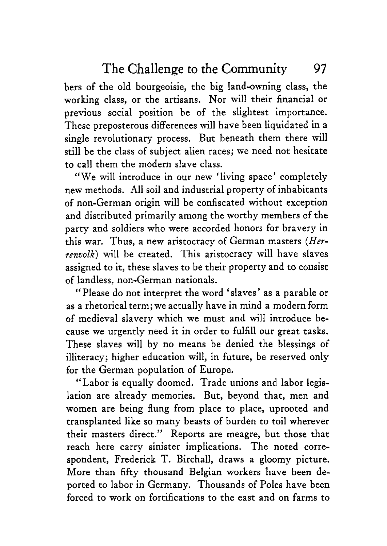bers of the old bourgeoisie, the big land-owning class, the working class, or the artisans. Nor will their financial or previous social position be of the slightest importance. These preposterous differences will have been liquidated in a single revolutionary process. But beneath them there will still be the class of subject alien races; we need not hesitate to call them the modern slave class.

We will introduce in our new 'living space' completely **'6** new methods. All soil and industrial property of inhabitants of non-German origin will be confiscated without exception and distributed primarily among the worthy members of the party and soldiers who were accorded honors for bravery in this war. Thus, a new aristocracy of German masters *(Herrenoolk)* will be created. This aristocracy will have slaves assigned to it, these slaves to be their property and to consist of landless, non-German nationals.

"Please do not interpret the word 'slaves' as a parable or as a rhetorical term; we actually have in mind a modern form of medieval slavery which we must and will introduce because we urgently need it in order to fulfill our great tasks. These slaves will by no means be denied the blessings of illiteracy; higher education will, in future, be reserved only for the German population of Europe.

"Labor is equally doomed. Trade unions and labor legislation are already memories. But, beyond that, men and women are being flung from place to place, uprooted and transplanted like so many beasts of burden to toil wherever their masters direct.'' Reports are meagre, but those that reach here carry sinister implications. The noted correspondent, Frederick T. Birchall, draws a gloomy picture. More than fifty thousand Belgian workers have been deported to labor in Germany. Thousands of Poles have been forced to work on fortifications to the east and on farms to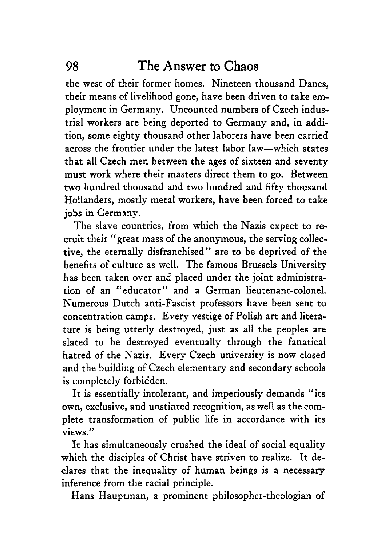the west of their former homes. Nineteen thousand Danes, their means of livelihood gone, have been driven to take employment in Germany. Uncounted numbers of Czech industrial workers are being deported to Germany and, in addition, some eighty thousand other laborers have been carried across the frontier under the latest labor law-which states that all Czech men between the ages of sixteen and seventy must work where their masters direct them to go. Between two hundred thousand and two hundred and fifty thousand Hollanders, mostly metal workers, have been forced to take jobs in Germany.

The slave countries, from which the Nazis expect to recruit their "great mass of the anonymous, the serving collective, the eternally disfranchised" are to be deprived of the benefits of culture as well. The famous Brussels University has been taken over and placed under the joint administration of an "educator" and a German lieutenant-colonel. Numerous Dutch anti-Fascist professors have been sent to concentration camps. Every vestige of Polish art and literature **is** being utterly destroyed, just as all the peoples are slated to be destroyed eventually through the fanatical hatred of the Nazis. Every Czech university is now closed and the building of Czech elementary and secondary schools is completely forbidden.

It is essentially intolerant, and imperiously demands "its own, exclusive, and unstinted recognition, as well as the complete transformation of public life in accordance with its views."

It has simultaneously crushed the ideal of social equality which the disciples of Christ have striven to realize. It declares that the inequality of human beings is a necessary inference from the racial principle.

Hans Hauptman, a prominent philosopher-theologian of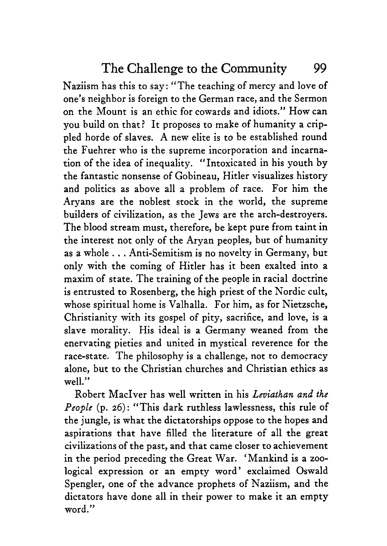Naziism has this to say: "The teaching of mercy and love of one's neighbor is foreign to the German race, and the Sermon on the Mount is an ethic for cowards and idiots." How can you build on that? It proposes to make of humanity a crippled horde of slaves. A new elite is to be established round the Fuehrer who is the supreme incorporation and incarnation of the idea of inequality. "Intoxicated in his youth by the fantastic nonsense of Gobineau, Hitler visualizes history and politics as above all a problem of race. For him the Aryans are the noblest stock in the world, the supreme builders of civilization, as the Jews are the arch-destroyers. The blood stream must, therefore, be kept pure from taint in the interest not only of the Aryan peoples, but of humanity as a whole . . . Anti-Semitism is no novelty in Germany, but only with the coming of Hitler has it been exalted into a maxim of state. The training of the people in racial doctrine is entrusted to Rosenberg, the high priest of the Nordic cult, whose spiritual home is Valhalla. For him, as for Nietzsche, Christianity with its gospel of pity, sacrifice, and love, is a slave morality. His ideal is a Germany weaned from the enervating pieties and united in mystical reverence for the race-state. The philosophy is a challenge, not to democracy alone, but to the Christian churches and Christian ethics as well."

Robert MacIver has well written in his *Leviathan and the People* (p. *26):* "This dark ruthless lawlessness, this rule of the jungle, is what the dictatorships oppose to the hopes and aspirations that have filled the literature of all the great civilizations of the past, and that came closer to achievement in the period preceding the Great War. 'Mankind is a zoological expression or an empty word' exclaimed Oswald Spengler, one of the advance prophets of Naziism, and the dictators have done all in their power to make it an empty word."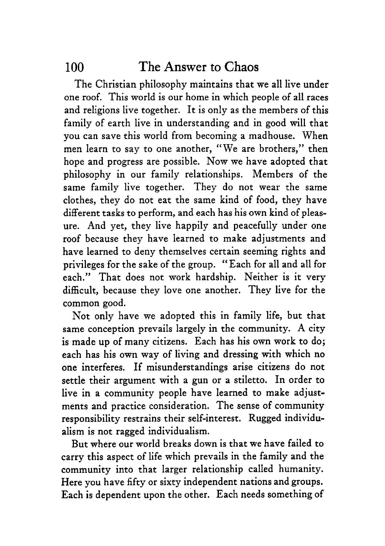The Christian philosophy maintains that we all live under one roof. This world is our home in which people of all races and religions live together. It is only as the members of this family of earth live in understanding and in good will that you can save this world from becoming a madhouse. When men learn to say to one another, "We are brothers," then hope and progress are possible. Now we have adopted that philosophy in our family relationships. Members of the same family live together. They do not wear the same clothes, they do not eat the same kind of food, they have different tasks to perform, and each has his own kind of pleasure. And yet, they live happily and peacefully under one roof because they have learned to make adjustments and have learned to deny themselves certain seeming rights and privileges for the sake of the group. "Each for all and all for each." That does not work hardship. Neither is it very difficult, because they love one another. They live for the common good.

Not only have we adopted this in family life, but that same conception prevails largely in the community. A city **is** made up of many citizens. Each has his own work to do; each has his own way of living and dressing with which no one interferes. If misunderstandings arise citizens do not settle their argument with a gun or a stiletto. In order to live in a community people have learned to make adjustments and practice consideration. The sense of community responsibility restrains their self-interest. Rugged individualism is not ragged individualism.

But where our world breaks down is that we have failed to carry this aspect of life which prevails in the family and the community into that larger relationship called humanity. Here you have fifty or sixty independent nations and groups. Each is dependent upon the other. Each needs something of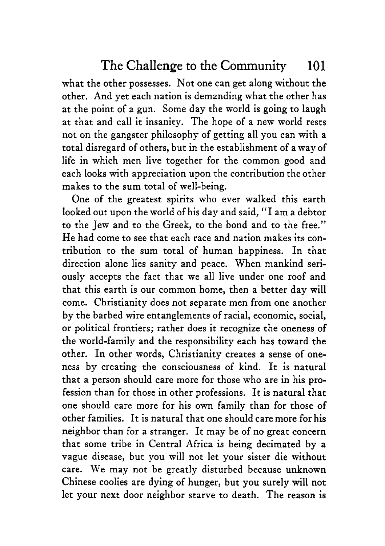what the other possesses. Not one can get along without the other. And yet each nation is demanding what the other has at the point of a gun. Some day the world is going to laugh at that and call it insanity. The hope of a new world rests not on the gangster philosophy of getting all you can with a total disregard of others, but in the establishment of a way of life in which men live together for the common good and each looks with appreciation upon the contribution the other makes to the sum total of well-being.

One of the greatest spirits who ever walked this earth looked out upon the world of his day and said, "I am a debtor to the Jew and to the Greek, to the bond and to the free." He had come to see that each race and nation makes its contribution to the sum total of human happiness. In that direction alone lies sanity and peace. When mankind seriously accepts the fact that we all live under one roof and that this earth is our common home, then a better day will come. Christianity does not separate men from one another by the barbed wire entanglements of racial, economic, social, or political frontiers; rather does it recognize the oneness of the world-family and the responsibility each has toward the other. In other words, Christianity creates a sense of oneness by creating the consciousness of kind. It is natural that a person should care more for those who are in his profession than for those in other professions. It is natural that one should care more for his own family than for those of other families. It is natural that one should care more for his neighbor than for a stranger. It may be of no great concern that some tribe in Central Africa is being decimated by a vague disease, but you will not let your sister die without care. We may not be greatly disturbed because unknown Chinese coolies are dying of hunger, but you surely will not let your next door neighbor starve to death. The reason is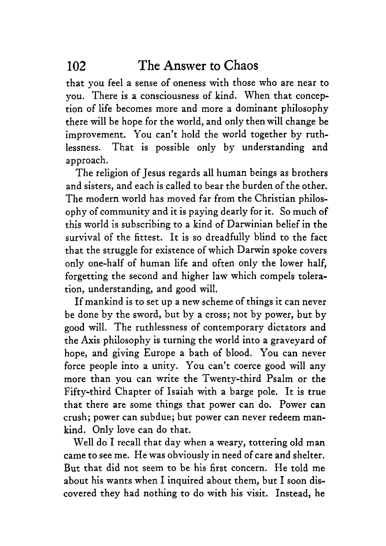that you feel a sense of oneness with those who are near to you. There is a consciousness of kind. When that conception of life becomes more and more a dominant philosophy there will be hope for the world, and only then will change be improvement. You can't hold the world together by ruthlessness. That is possible only by understanding and approach.

The religion of Jesus regards all human beings as brothers and sisters, and each is called to bear the burden of the other. The modern world has moved far from the Christian philosophy of community and it is paying dearly for it. So much of this world is subscribing to a kind of Darwinian belief in the survival of the fittest. It is so dreadfully blind to the fact that the struggle for existence of which Darwin spoke covers only one-half of human life and often only the lower half, forgetting the second and higher law which compels toleration, understanding, and good will.

If mankind is to set up a new scheme of things it can never be done by the sword, but by a cross; not by power, but by good will. The ruthlessness of contemporary dictators and the Axis philosophy is turning the world into a graveyard of hope, and giving Europe a bath of blood. You can never force people into a unity. You can't coerce good will any more than you can write the Twenty-third Psalm or the Fifty-third Chapter of Isaiah with a barge pole. It is true that there are some things that power can do. Power can crush; power can subdue; but power can never redeem mankind. Only love can do that.

Well do I recall that day when a weary, tottering old man came to see me. He was obviously in need of care and shelter. But that did not seem to be his first concern. He told me about his wants when I inquired about them, but I soon discovered they had nothing to do with his visit. Instead, he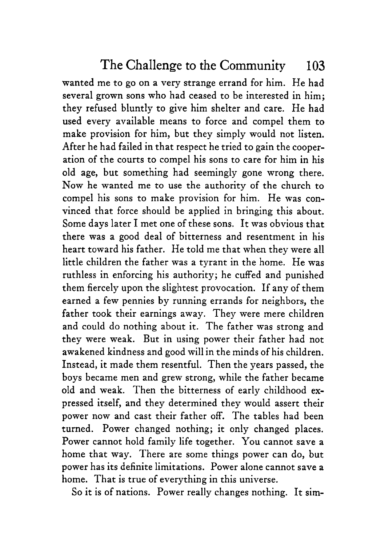wanted me to go on a very strange errand for him. He had several grown sons who had ceased to be interested in him; they refused bluntly to give him shelter and care. He had used every available means to force and compel them to make provision for him, but they simply would not listen. After he had failed in that respect he tried to gain the cooperation of the courts to compel his sons to care for him in his old age, but something had seemingly gone wrong there. Now he wanted me to use the authority of the church to compel his sons to make provision for him. He was convinced that force should be applied in bringing this about. Some days later I met one of these sons. It was obvious that there was a good deal of bitterness and resentment in his heart toward his father. He told me that when they were all little children the father was a tyrant in the home. He was ruthless in enforcing his authority; he cuffed and punished them fiercely upon the slightest provocation. If any of them earned a few pennies by running errands for neighbors, the father took their earnings away. They were mere children and could do nothing about it. The father was strong and they were weak. But in using power their father had not awakened kindness and good will in the minds of his children. Instead, it made them resentful. Then the years passed, the boys became men and grew strong, while the father became old and weak. Then the bitterness of early childhood expressed itself, and they determined they would assert their power now and cast their father off. The tables had been turned. Power changed nothing; it only changed places. Power cannot hold family life together. You cannot save **a**  home that way. There are some things power can do, but power has its definite limitations. Power alone cannot save a home. That is true of everything in this universe.

So it is of nations. Power really changes nothing. It sim-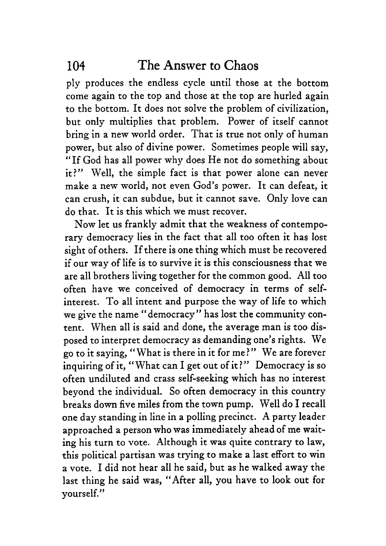ply produces the endless cycle until those at the bottom come again to the top and those at the top are hurled again to the bottom. It does not solve the problem of civilization, but only multiplies that problem. Power of itself cannot bring in a new world order. That is true not only of human power, but also of divine power. Sometimes people will say, "If God has all power why does He not do something about it?" Well, the simple fact is that power alone can never make a new world, not even God's power. It can defeat, it can crush, it can subdue, but it cannot save. Only love can do that. It is this which we must recover.

Now let us frankly admit that the weakness of contemporary democracy lies in the fact that all too often it has lost sight of others. If there is one thing which must be recovered if our way of life is to survive it is this consciousness that we are all brothers living together for the common good. All too often have we conceived of democracy in terms of selfinterest. To all intent and purpose the way of life to which we give the name "democracy" has lost the community content. When all is said and done, the average man is too disposed to interpret democracy as demanding one's rights. We go to it saying, "What is there in it for me?" We are forever inquiring of it, "What can I get out of it?" Democracy is so often undiluted and crass self-seeking which has no interest beyond the individual. So often democracy in this country breaks down five miles from the town pump. Well do I recall one day standing in line in a polling precinct. **A** party leader approached a person who was immediately ahead of me waiting his turn to vote. Although it was quite contrary to law, this political partisan was trying to make a last effort to win a vote. I did not hear all he said, but as he walked away the last thing he said was, "After all, you have to look out for yourself."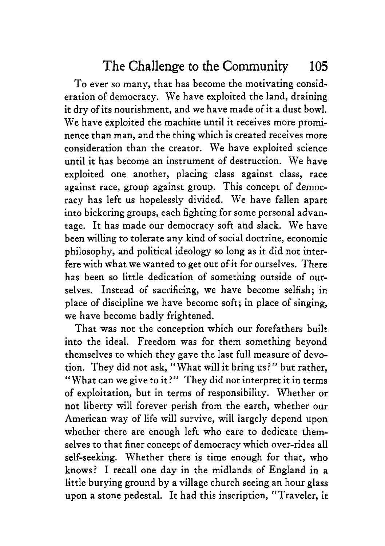To ever so many, that has become the motivating consideration of democracy. We have exploited the land, draining it dry of its nourishment, and we have made of it a dust bowl. We have exploited the machine until it receives more prominence than man, and the thing which is created receives more consideration than the creator. We have exploited science until it has become an instrument of destruction. We have exploited one another, placing class against class, race against race, group against group. This concept of democracy has left us hopelessly divided. We have fallen apart into bickering groups, each fighting for some personal advantage. It has made our democracy soft and slack. We have been willing to tolerate any kind of social doctrine, economic philosophy, and political ideology so long as it did not interfere with what we wanted to get out of it for ourselves. There has been so little dedication of something outside of ourselves. Instead of sacrificing, we have become selfish; in place of discipline we have become soft; in place of singing, we have become badly frightened.

That was not the conception which our forefathers built into the ideal. Freedom was for them something beyond themselves to which they gave the last full measure of devotion. They did not ask, "What will it bring us ?" but rather, "What can we give to it?" They did not interpret it in terms of exploitation, but in terms of responsibility. Whether or not liberty will forever perish from the earth, whether our American way of life will survive, will largely depend upon whether there are enough left who care to dedicate themselves to that finer concept of democracy which over-rides all self-seeking. Whether there is time enough for that, who knows? I recall one day in the midlands of England in *<sup>a</sup>* little burying ground by a village church seeing an hour glass upon a stone pedestal. It had this inscription, "Traveler, it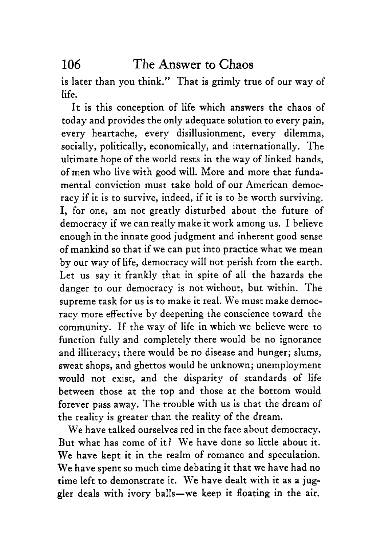is later than you think." That is grimly true of our way of life.

It is this conception of life which answers the chaos of today and provides the only adequate solution to every pain, every heartache, every disillusionment, every dilemma, socially, politically, economically, and internationally. The ultimate hope of the world rests in the way of linked hands, of men who live with good will. More and more that fundamental conviction must take hold of our American democracy if it is to survive, indeed, if it is to be worth surviving. I, for one, am not greatly disturbed about the future of democracy if we can really make it work among us. I believe enough in the innate good judgment and inherent good sense of mankind so that if we can put into practice what we mean by our way of life, democracy will not perish from the earth. Let us say it frankly that in spite of all the hazards the danger to our democracy is not without, but within. The supreme task for us is to make it real. We must make democracy more effective by deepening the conscience toward the community. If the way of life in which we believe were to function fully and completely there would be no ignorance and illiteracy; there would be no disease and hunger; slums, sweat shops, and ghettos would be unknown; unemployment would not exist, and the disparity of standards of life between those at the top and those at the bottom would forever pass away. The trouble with us is that the dream of the reality is greater than the reality of the dream.

We have talked ourselves red in the face about democracy. But what has come of it? We have done so little about it. We have kept it in the realm of romance and speculation. We have spent so much time debating it that we have had no time left to demonstrate it. We have dealt with it as a juggler deals with ivory balls-we keep it floating in the air.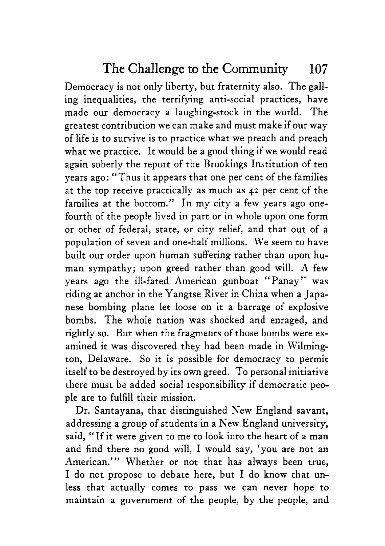Democracy is not only liberty, but fraternity also. The galling inequalities, the terrifying anti-social practices, have made our democracy a laughing-stock in the world. The greatest contribution we can make and must make if our way of life is to survive is to practice what we preach and preach what we practice. It would be a good thing if we would read again soberly the report of the Brookings Institution of ten years ago: "Thus it appears that one per cent of the families at the top receive practically as much as **42** per cent of the families at the bottom." In my city a few years ago onefourth of the people lived in part or in whole upon one form or other of federal, state, or city relief, and that out of a population of seven and one-half millions. We seem to have built our order upon human suffering rather than upon human sympathy; upon greed rather than good will. A few years ago the ill-fated American gunboat "Panay" was riding at anchor in the Yangtse River in China when a Japanese bombing plane let loose on it a barrage of explosive bombs. The whole nation was shocked and enraged, and rightly so. But when the fragments of those bombs were examined it was discovered they had been made in Wilmington, Delaware. So it is possible for democracy to permit itself to be destroyed by its own greed. To personal initiative there must be added social responsibility if democratic people are to fulfill their mission.

Dr. Santayana, that distinguished New England savant, addressing a group of students in a New England university, said, "If it were given to me to look into the heart of a man and find there no good will, I would say, 'you are not an American."' Whether or not that has always been true, I do not propose to debate here, but I do know that unless that actually comes to pass we can never hope to maintain a government of the people, by the people, and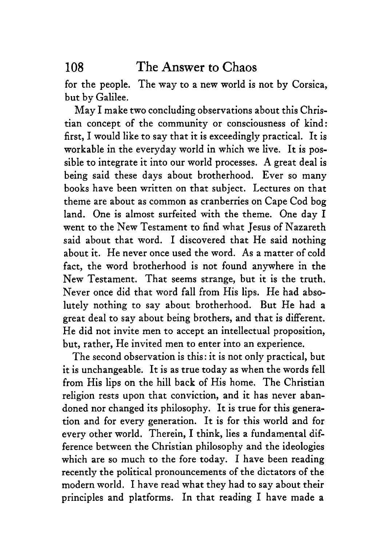for the people. The way to a new world is not by Corsica, but by Galilee.

May I make two concluding observations about this Christian concept of the community or consciousness of kind: first, I would like to say that it is exceedingly practical. It is workable in the everyday world in which we live. It is possible to integrate it into our world processes. **A** great deal is being said these days about brotherhood. Ever so many books have been written on that subject. Lectures on that theme are about as common as cranberries on Cape Cod bog land. One is almost surfeited with the theme. One day I went to the New Testament to find what Jesus of Nazareth said about that word. I discovered that He said nothing about it. He never once used the word. **As** a matter of cold fact, the word brotherhood is not found anywhere in the New Testament. That seems strange, but it is the truth. Never once did that word fall from His lips. He had absolutely nothing to say about brotherhood. But He had a great deal to say about being brothers, and that is different. He did not invite men to accept an intellectual proposition, but, rather, He invited men to enter into an experience.

The second observation is this : it is not only practical, but it is unchangeable. It is as true today as when the words fell from His lips on the hill back of His home. The Christian religion rests upon that conviction, and it has never abandoned nor changed its philosophy. It is true for this generation and for every generation. It is for this world and for every other world. Therein, I think, lies a fundamental difference between the Christian philosophy and the ideologies which are so much to the fore today. I have been reading recently the political pronouncements of the dictators of the modern world. I have read what they had to say about their principles and platforms. In that reading I have made a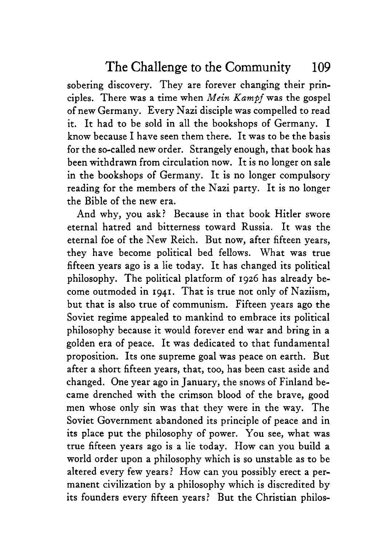sobering discovery. They are forever changing their principles. There was a time when *Mein Kampf* was the gospel of new Germany. Every Nazi disciple was compelled to read it. It had to be sold in all the bookshops of Germany. I know because I have seen them there. It was to be the basis for the so-called new order. Strangely enough, that book has been withdrawn from circulation now. It is no longer on sale in the bookshops of Germany. It is no longer compulsory reading for the members of the Nazi party. It is no longer the Bible of the new era.

And why, you ask? Because in that book Hitler swore eternal hatred and bitterness toward Russia. It was the eternal foe of the New Reich. But now, after fifteen years, they have become political bed fellows. What was true fifteen years ago is a lie today. It has changed its political philosophy. The political platform of 1926 has already become outmoded in **1941.** That is true not only of Naziism, but that is also true of communism. Fifteen years ago the Soviet regime appealed to mankind to embrace its political philosophy because it would forever end war and bring in a golden era of peace. It was dedicated to that fundamental proposition. Its one supreme goal was peace on earth. But after a short fifteen years, that, too, has been cast aside and changed. One year ago in January, the snows of Finland became drenched with the crimson blood of the brave, good men whose only sin was that they were in the way. The Soviet Government abandoned its principle of peace and in its place put the philosophy of power. You see, what was true fifteen years ago is a lie today. How can you build a world order upon a philosophy which is so unstable as to be altered every few years? How can you possibly erect a permanent civilization by a philosophy which is discredited by its founders every fifteen years? But the Christian philos-